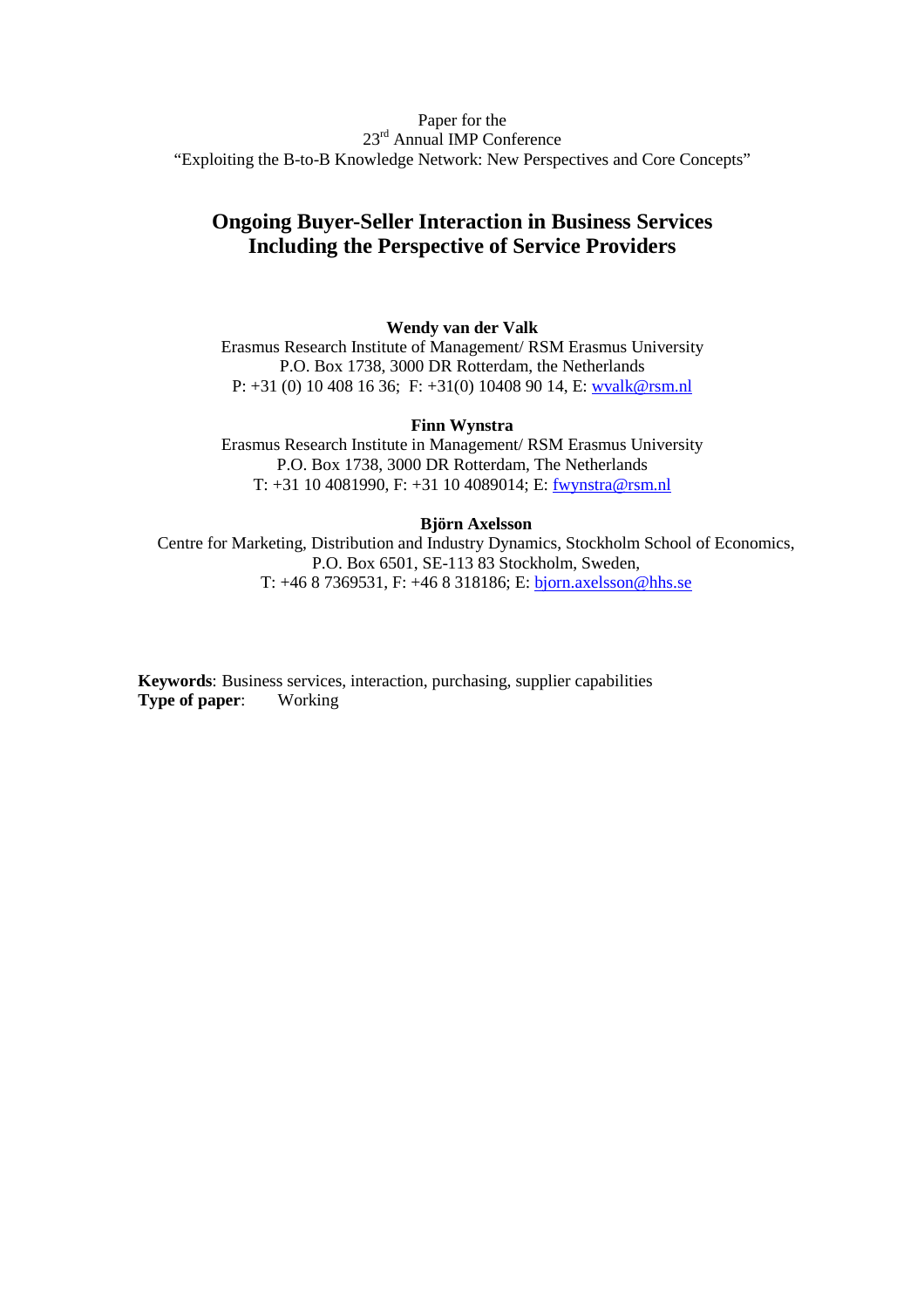Paper for the 23<sup>rd</sup> Annual IMP Conference "Exploiting the B-to-B Knowledge Network: New Perspectives and Core Concepts"

# **Ongoing Buyer-Seller Interaction in Business Services Including the Perspective of Service Providers**

**Wendy van der Valk** 

Erasmus Research Institute of Management/ RSM Erasmus University P.O. Box 1738, 3000 DR Rotterdam, the Netherlands P: +31 (0) 10 408 16 36; F: +31(0) 10408 90 14, E: wvalk@rsm.nl

**Finn Wynstra** 

Erasmus Research Institute in Management/ RSM Erasmus University P.O. Box 1738, 3000 DR Rotterdam, The Netherlands T: +31 10 4081990, F: +31 10 4089014; E: fwynstra@rsm.nl

# **Björn Axelsson**

Centre for Marketing, Distribution and Industry Dynamics, Stockholm School of Economics, P.O. Box 6501, SE-113 83 Stockholm, Sweden, T: +46 8 7369531, F: +46 8 318186; E: bjorn.axelsson@hhs.se

**Keywords**: Business services, interaction, purchasing, supplier capabilities **Type of paper**:Working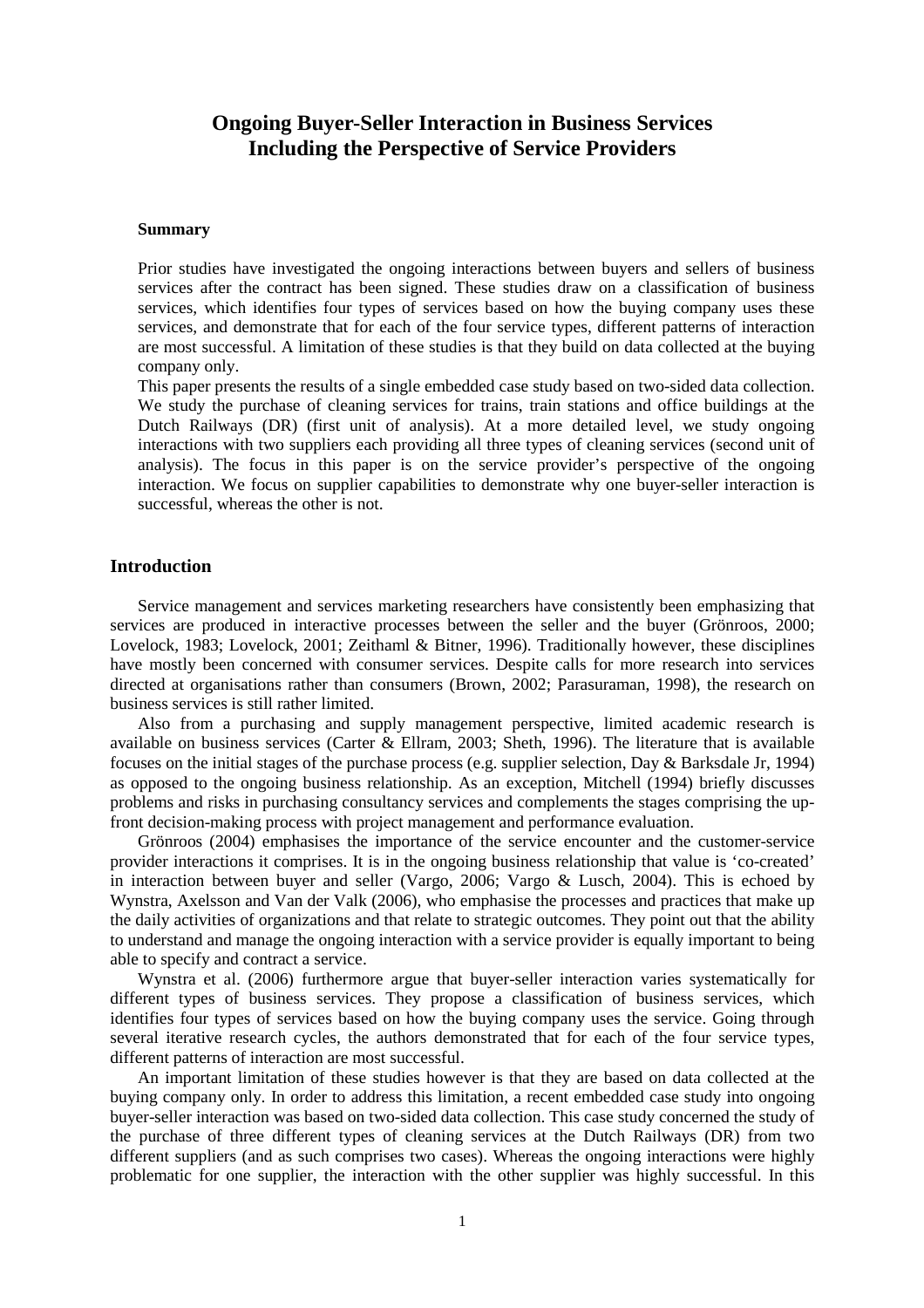# **Ongoing Buyer-Seller Interaction in Business Services Including the Perspective of Service Providers**

#### **Summary**

Prior studies have investigated the ongoing interactions between buyers and sellers of business services after the contract has been signed. These studies draw on a classification of business services, which identifies four types of services based on how the buying company uses these services, and demonstrate that for each of the four service types, different patterns of interaction are most successful. A limitation of these studies is that they build on data collected at the buying company only.

This paper presents the results of a single embedded case study based on two-sided data collection. We study the purchase of cleaning services for trains, train stations and office buildings at the Dutch Railways (DR) (first unit of analysis). At a more detailed level, we study ongoing interactions with two suppliers each providing all three types of cleaning services (second unit of analysis). The focus in this paper is on the service provider's perspective of the ongoing interaction. We focus on supplier capabilities to demonstrate why one buyer-seller interaction is successful, whereas the other is not.

# **Introduction**

Service management and services marketing researchers have consistently been emphasizing that services are produced in interactive processes between the seller and the buyer (Grönroos, 2000; Lovelock, 1983; Lovelock, 2001; Zeithaml & Bitner, 1996). Traditionally however, these disciplines have mostly been concerned with consumer services. Despite calls for more research into services directed at organisations rather than consumers (Brown, 2002; Parasuraman, 1998), the research on business services is still rather limited.

Also from a purchasing and supply management perspective, limited academic research is available on business services (Carter & Ellram, 2003; Sheth, 1996). The literature that is available focuses on the initial stages of the purchase process (e.g. supplier selection, Day & Barksdale Jr, 1994) as opposed to the ongoing business relationship. As an exception, Mitchell (1994) briefly discusses problems and risks in purchasing consultancy services and complements the stages comprising the upfront decision-making process with project management and performance evaluation.

Grönroos (2004) emphasises the importance of the service encounter and the customer-service provider interactions it comprises. It is in the ongoing business relationship that value is 'co-created' in interaction between buyer and seller (Vargo, 2006; Vargo & Lusch, 2004). This is echoed by Wynstra, Axelsson and Van der Valk (2006), who emphasise the processes and practices that make up the daily activities of organizations and that relate to strategic outcomes. They point out that the ability to understand and manage the ongoing interaction with a service provider is equally important to being able to specify and contract a service.

Wynstra et al. (2006) furthermore argue that buyer-seller interaction varies systematically for different types of business services. They propose a classification of business services, which identifies four types of services based on how the buying company uses the service. Going through several iterative research cycles, the authors demonstrated that for each of the four service types, different patterns of interaction are most successful.

An important limitation of these studies however is that they are based on data collected at the buying company only. In order to address this limitation, a recent embedded case study into ongoing buyer-seller interaction was based on two-sided data collection. This case study concerned the study of the purchase of three different types of cleaning services at the Dutch Railways (DR) from two different suppliers (and as such comprises two cases). Whereas the ongoing interactions were highly problematic for one supplier, the interaction with the other supplier was highly successful. In this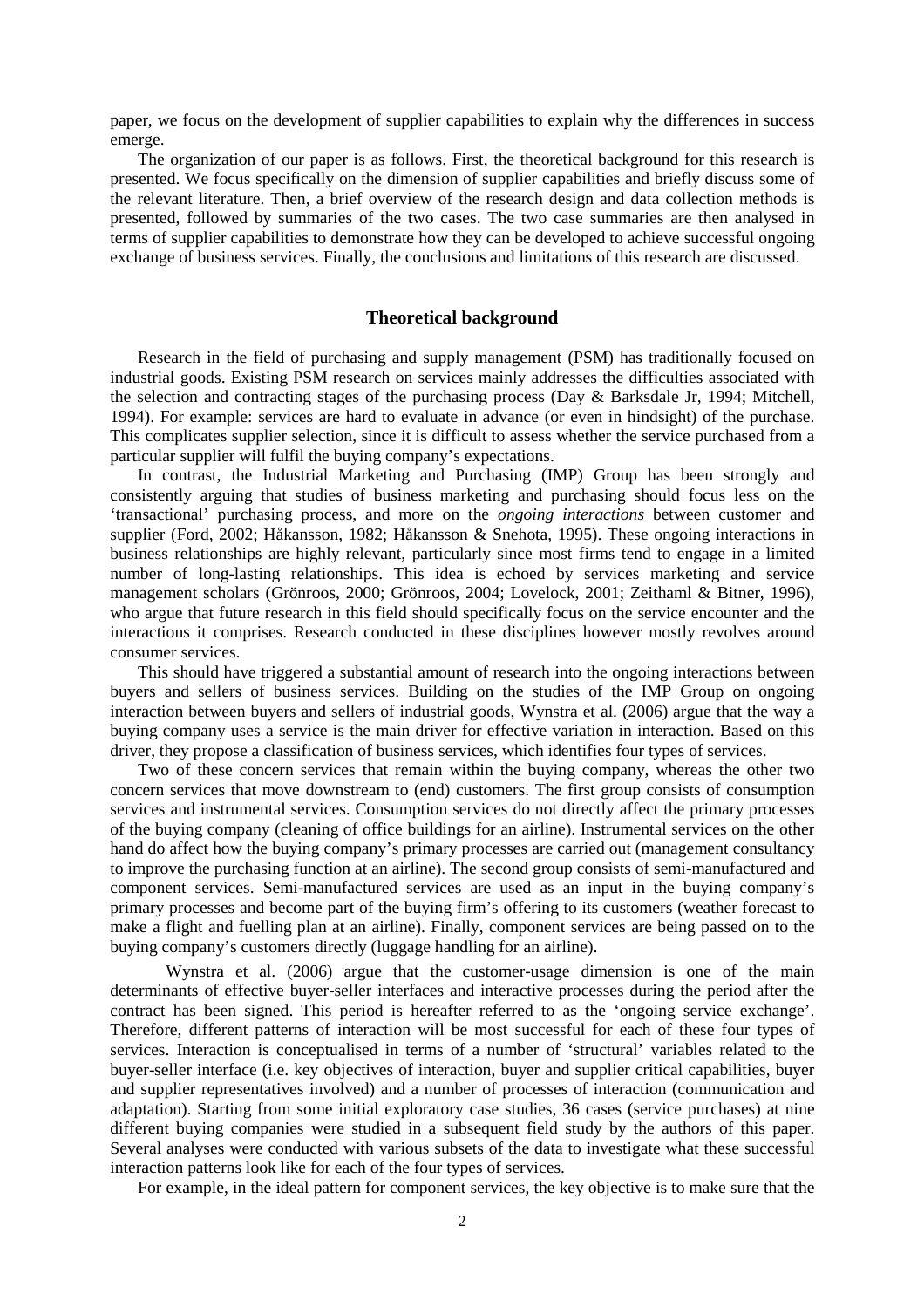paper, we focus on the development of supplier capabilities to explain why the differences in success emerge.

The organization of our paper is as follows. First, the theoretical background for this research is presented. We focus specifically on the dimension of supplier capabilities and briefly discuss some of the relevant literature. Then, a brief overview of the research design and data collection methods is presented, followed by summaries of the two cases. The two case summaries are then analysed in terms of supplier capabilities to demonstrate how they can be developed to achieve successful ongoing exchange of business services. Finally, the conclusions and limitations of this research are discussed.

# **Theoretical background**

Research in the field of purchasing and supply management (PSM) has traditionally focused on industrial goods. Existing PSM research on services mainly addresses the difficulties associated with the selection and contracting stages of the purchasing process (Day & Barksdale Jr, 1994; Mitchell, 1994). For example: services are hard to evaluate in advance (or even in hindsight) of the purchase. This complicates supplier selection, since it is difficult to assess whether the service purchased from a particular supplier will fulfil the buying company's expectations.

In contrast, the Industrial Marketing and Purchasing (IMP) Group has been strongly and consistently arguing that studies of business marketing and purchasing should focus less on the 'transactional' purchasing process, and more on the *ongoing interactions* between customer and supplier (Ford, 2002; Håkansson, 1982; Håkansson & Snehota, 1995). These ongoing interactions in business relationships are highly relevant, particularly since most firms tend to engage in a limited number of long-lasting relationships. This idea is echoed by services marketing and service management scholars (Grönroos, 2000; Grönroos, 2004; Lovelock, 2001; Zeithaml & Bitner, 1996), who argue that future research in this field should specifically focus on the service encounter and the interactions it comprises. Research conducted in these disciplines however mostly revolves around consumer services.

This should have triggered a substantial amount of research into the ongoing interactions between buyers and sellers of business services. Building on the studies of the IMP Group on ongoing interaction between buyers and sellers of industrial goods, Wynstra et al. (2006) argue that the way a buying company uses a service is the main driver for effective variation in interaction. Based on this driver, they propose a classification of business services, which identifies four types of services.

Two of these concern services that remain within the buying company, whereas the other two concern services that move downstream to (end) customers. The first group consists of consumption services and instrumental services. Consumption services do not directly affect the primary processes of the buying company (cleaning of office buildings for an airline). Instrumental services on the other hand do affect how the buying company's primary processes are carried out (management consultancy to improve the purchasing function at an airline). The second group consists of semi-manufactured and component services. Semi-manufactured services are used as an input in the buying company's primary processes and become part of the buying firm's offering to its customers (weather forecast to make a flight and fuelling plan at an airline). Finally, component services are being passed on to the buying company's customers directly (luggage handling for an airline).

Wynstra et al. (2006) argue that the customer-usage dimension is one of the main determinants of effective buyer-seller interfaces and interactive processes during the period after the contract has been signed. This period is hereafter referred to as the 'ongoing service exchange'. Therefore, different patterns of interaction will be most successful for each of these four types of services. Interaction is conceptualised in terms of a number of 'structural' variables related to the buyer-seller interface (i.e. key objectives of interaction, buyer and supplier critical capabilities, buyer and supplier representatives involved) and a number of processes of interaction (communication and adaptation). Starting from some initial exploratory case studies, 36 cases (service purchases) at nine different buying companies were studied in a subsequent field study by the authors of this paper. Several analyses were conducted with various subsets of the data to investigate what these successful interaction patterns look like for each of the four types of services.

For example, in the ideal pattern for component services, the key objective is to make sure that the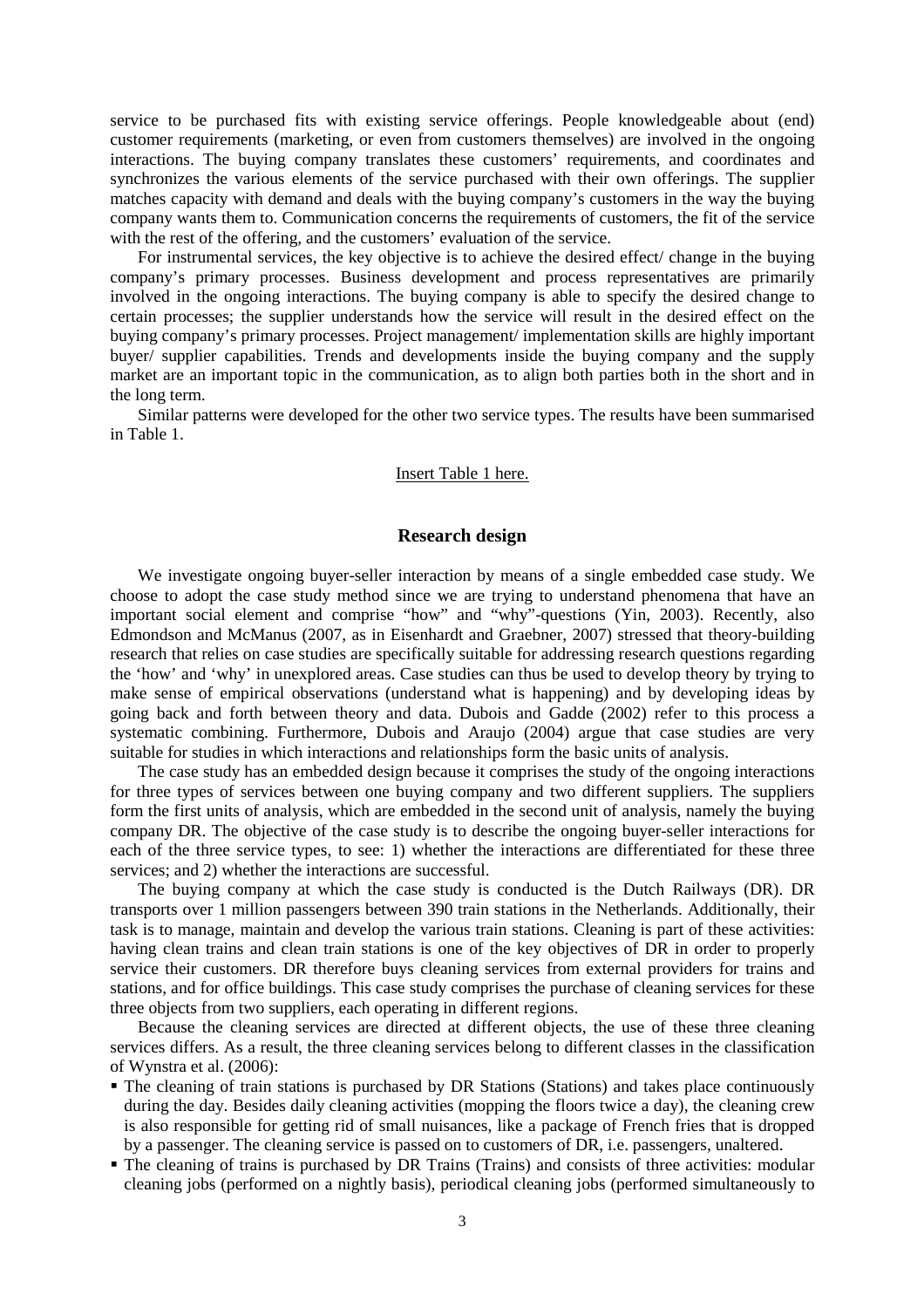service to be purchased fits with existing service offerings. People knowledgeable about (end) customer requirements (marketing, or even from customers themselves) are involved in the ongoing interactions. The buying company translates these customers' requirements, and coordinates and synchronizes the various elements of the service purchased with their own offerings. The supplier matches capacity with demand and deals with the buying company's customers in the way the buying company wants them to. Communication concerns the requirements of customers, the fit of the service with the rest of the offering, and the customers' evaluation of the service.

For instrumental services, the key objective is to achieve the desired effect/ change in the buying company's primary processes. Business development and process representatives are primarily involved in the ongoing interactions. The buying company is able to specify the desired change to certain processes; the supplier understands how the service will result in the desired effect on the buying company's primary processes. Project management/ implementation skills are highly important buyer/ supplier capabilities. Trends and developments inside the buying company and the supply market are an important topic in the communication, as to align both parties both in the short and in the long term.

Similar patterns were developed for the other two service types. The results have been summarised in Table 1.

### Insert Table 1 here.

# **Research design**

We investigate ongoing buyer-seller interaction by means of a single embedded case study. We choose to adopt the case study method since we are trying to understand phenomena that have an important social element and comprise "how" and "why"-questions (Yin, 2003). Recently, also Edmondson and McManus (2007, as in Eisenhardt and Graebner, 2007) stressed that theory-building research that relies on case studies are specifically suitable for addressing research questions regarding the 'how' and 'why' in unexplored areas. Case studies can thus be used to develop theory by trying to make sense of empirical observations (understand what is happening) and by developing ideas by going back and forth between theory and data. Dubois and Gadde (2002) refer to this process a systematic combining. Furthermore, Dubois and Araujo (2004) argue that case studies are very suitable for studies in which interactions and relationships form the basic units of analysis.

The case study has an embedded design because it comprises the study of the ongoing interactions for three types of services between one buying company and two different suppliers. The suppliers form the first units of analysis, which are embedded in the second unit of analysis, namely the buying company DR. The objective of the case study is to describe the ongoing buyer-seller interactions for each of the three service types, to see: 1) whether the interactions are differentiated for these three services; and 2) whether the interactions are successful.

The buying company at which the case study is conducted is the Dutch Railways (DR). DR transports over 1 million passengers between 390 train stations in the Netherlands. Additionally, their task is to manage, maintain and develop the various train stations. Cleaning is part of these activities: having clean trains and clean train stations is one of the key objectives of DR in order to properly service their customers. DR therefore buys cleaning services from external providers for trains and stations, and for office buildings. This case study comprises the purchase of cleaning services for these three objects from two suppliers, each operating in different regions.

Because the cleaning services are directed at different objects, the use of these three cleaning services differs. As a result, the three cleaning services belong to different classes in the classification of Wynstra et al. (2006):

- The cleaning of train stations is purchased by DR Stations (Stations) and takes place continuously during the day. Besides daily cleaning activities (mopping the floors twice a day), the cleaning crew is also responsible for getting rid of small nuisances, like a package of French fries that is dropped by a passenger. The cleaning service is passed on to customers of DR, i.e. passengers, unaltered.
- The cleaning of trains is purchased by DR Trains (Trains) and consists of three activities: modular cleaning jobs (performed on a nightly basis), periodical cleaning jobs (performed simultaneously to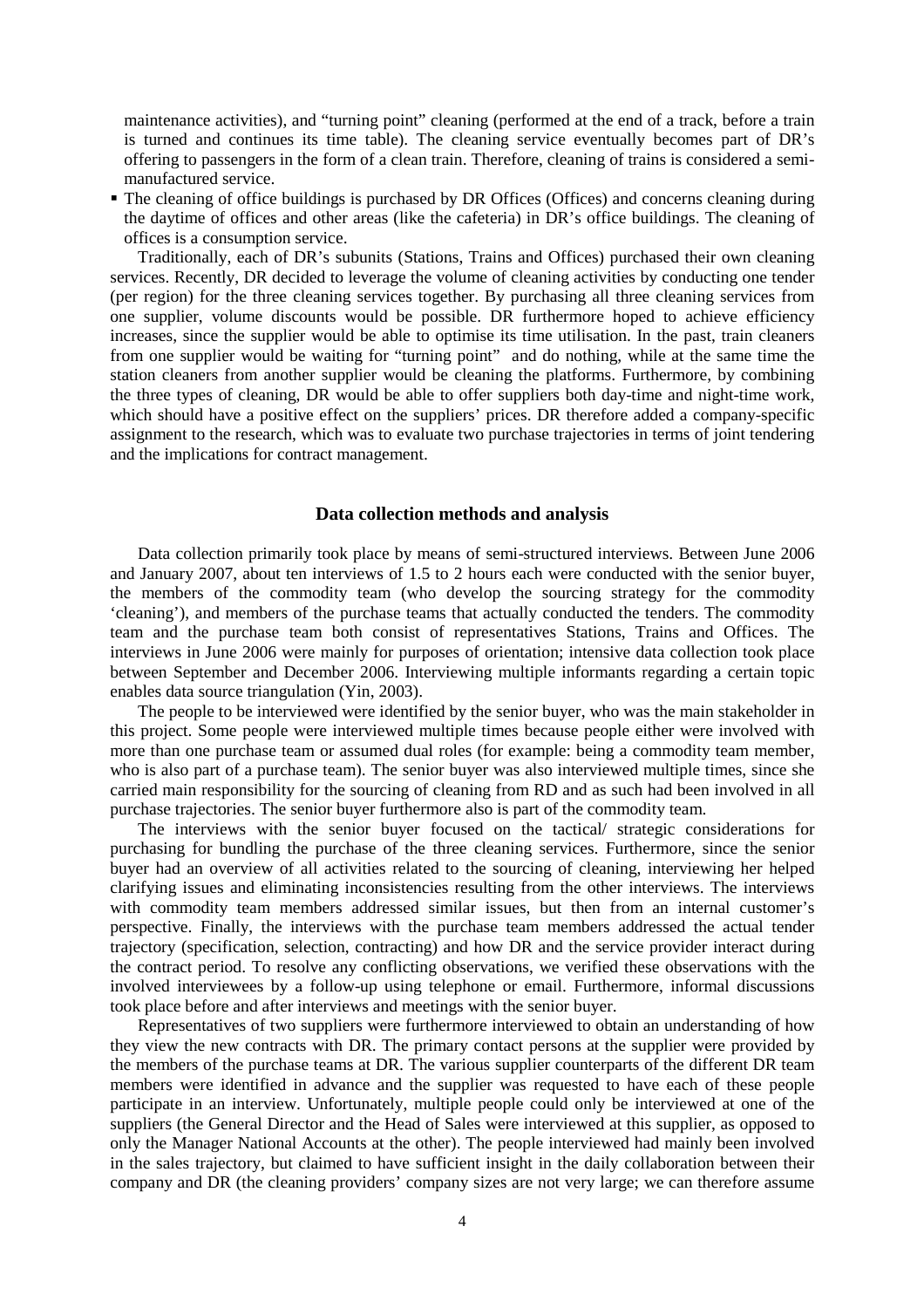maintenance activities), and "turning point" cleaning (performed at the end of a track, before a train is turned and continues its time table). The cleaning service eventually becomes part of DR's offering to passengers in the form of a clean train. Therefore, cleaning of trains is considered a semimanufactured service.

 The cleaning of office buildings is purchased by DR Offices (Offices) and concerns cleaning during the daytime of offices and other areas (like the cafeteria) in DR's office buildings. The cleaning of offices is a consumption service.

Traditionally, each of DR's subunits (Stations, Trains and Offices) purchased their own cleaning services. Recently, DR decided to leverage the volume of cleaning activities by conducting one tender (per region) for the three cleaning services together. By purchasing all three cleaning services from one supplier, volume discounts would be possible. DR furthermore hoped to achieve efficiency increases, since the supplier would be able to optimise its time utilisation. In the past, train cleaners from one supplier would be waiting for "turning point" and do nothing, while at the same time the station cleaners from another supplier would be cleaning the platforms. Furthermore, by combining the three types of cleaning, DR would be able to offer suppliers both day-time and night-time work, which should have a positive effect on the suppliers' prices. DR therefore added a company-specific assignment to the research, which was to evaluate two purchase trajectories in terms of joint tendering and the implications for contract management.

#### **Data collection methods and analysis**

Data collection primarily took place by means of semi-structured interviews. Between June 2006 and January 2007, about ten interviews of 1.5 to 2 hours each were conducted with the senior buyer, the members of the commodity team (who develop the sourcing strategy for the commodity 'cleaning'), and members of the purchase teams that actually conducted the tenders. The commodity team and the purchase team both consist of representatives Stations, Trains and Offices. The interviews in June 2006 were mainly for purposes of orientation; intensive data collection took place between September and December 2006. Interviewing multiple informants regarding a certain topic enables data source triangulation (Yin, 2003).

The people to be interviewed were identified by the senior buyer, who was the main stakeholder in this project. Some people were interviewed multiple times because people either were involved with more than one purchase team or assumed dual roles (for example: being a commodity team member, who is also part of a purchase team). The senior buyer was also interviewed multiple times, since she carried main responsibility for the sourcing of cleaning from RD and as such had been involved in all purchase trajectories. The senior buyer furthermore also is part of the commodity team.

The interviews with the senior buyer focused on the tactical/ strategic considerations for purchasing for bundling the purchase of the three cleaning services. Furthermore, since the senior buyer had an overview of all activities related to the sourcing of cleaning, interviewing her helped clarifying issues and eliminating inconsistencies resulting from the other interviews. The interviews with commodity team members addressed similar issues, but then from an internal customer's perspective. Finally, the interviews with the purchase team members addressed the actual tender trajectory (specification, selection, contracting) and how DR and the service provider interact during the contract period. To resolve any conflicting observations, we verified these observations with the involved interviewees by a follow-up using telephone or email. Furthermore, informal discussions took place before and after interviews and meetings with the senior buyer.

Representatives of two suppliers were furthermore interviewed to obtain an understanding of how they view the new contracts with DR. The primary contact persons at the supplier were provided by the members of the purchase teams at DR. The various supplier counterparts of the different DR team members were identified in advance and the supplier was requested to have each of these people participate in an interview. Unfortunately, multiple people could only be interviewed at one of the suppliers (the General Director and the Head of Sales were interviewed at this supplier, as opposed to only the Manager National Accounts at the other). The people interviewed had mainly been involved in the sales trajectory, but claimed to have sufficient insight in the daily collaboration between their company and DR (the cleaning providers' company sizes are not very large; we can therefore assume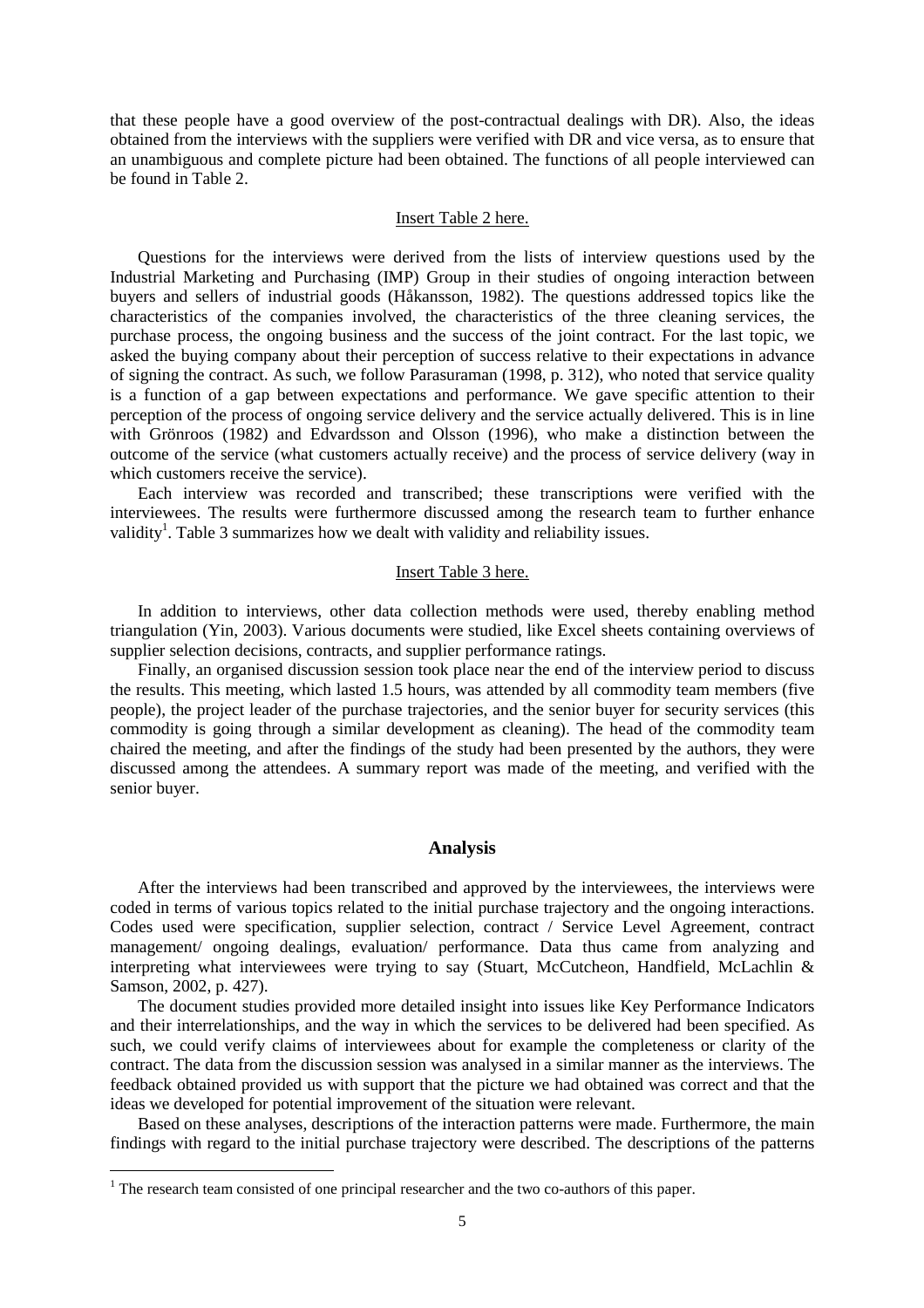that these people have a good overview of the post-contractual dealings with DR). Also, the ideas obtained from the interviews with the suppliers were verified with DR and vice versa, as to ensure that an unambiguous and complete picture had been obtained. The functions of all people interviewed can be found in Table 2.

#### Insert Table 2 here.

Questions for the interviews were derived from the lists of interview questions used by the Industrial Marketing and Purchasing (IMP) Group in their studies of ongoing interaction between buyers and sellers of industrial goods (Håkansson, 1982). The questions addressed topics like the characteristics of the companies involved, the characteristics of the three cleaning services, the purchase process, the ongoing business and the success of the joint contract. For the last topic, we asked the buying company about their perception of success relative to their expectations in advance of signing the contract. As such, we follow Parasuraman (1998, p. 312), who noted that service quality is a function of a gap between expectations and performance. We gave specific attention to their perception of the process of ongoing service delivery and the service actually delivered. This is in line with Grönroos (1982) and Edvardsson and Olsson (1996), who make a distinction between the outcome of the service (what customers actually receive) and the process of service delivery (way in which customers receive the service).

Each interview was recorded and transcribed; these transcriptions were verified with the interviewees. The results were furthermore discussed among the research team to further enhance validity<sup>1</sup>. Table 3 summarizes how we dealt with validity and reliability issues.

# Insert Table 3 here.

In addition to interviews, other data collection methods were used, thereby enabling method triangulation (Yin, 2003). Various documents were studied, like Excel sheets containing overviews of supplier selection decisions, contracts, and supplier performance ratings.

Finally, an organised discussion session took place near the end of the interview period to discuss the results. This meeting, which lasted 1.5 hours, was attended by all commodity team members (five people), the project leader of the purchase trajectories, and the senior buyer for security services (this commodity is going through a similar development as cleaning). The head of the commodity team chaired the meeting, and after the findings of the study had been presented by the authors, they were discussed among the attendees. A summary report was made of the meeting, and verified with the senior buyer.

# **Analysis**

After the interviews had been transcribed and approved by the interviewees, the interviews were coded in terms of various topics related to the initial purchase trajectory and the ongoing interactions. Codes used were specification, supplier selection, contract / Service Level Agreement, contract management/ ongoing dealings, evaluation/ performance. Data thus came from analyzing and interpreting what interviewees were trying to say (Stuart, McCutcheon, Handfield, McLachlin & Samson, 2002, p. 427).

The document studies provided more detailed insight into issues like Key Performance Indicators and their interrelationships, and the way in which the services to be delivered had been specified. As such, we could verify claims of interviewees about for example the completeness or clarity of the contract. The data from the discussion session was analysed in a similar manner as the interviews. The feedback obtained provided us with support that the picture we had obtained was correct and that the ideas we developed for potential improvement of the situation were relevant.

Based on these analyses, descriptions of the interaction patterns were made. Furthermore, the main findings with regard to the initial purchase trajectory were described. The descriptions of the patterns

<sup>&</sup>lt;sup>1</sup> The research team consisted of one principal researcher and the two co-authors of this paper.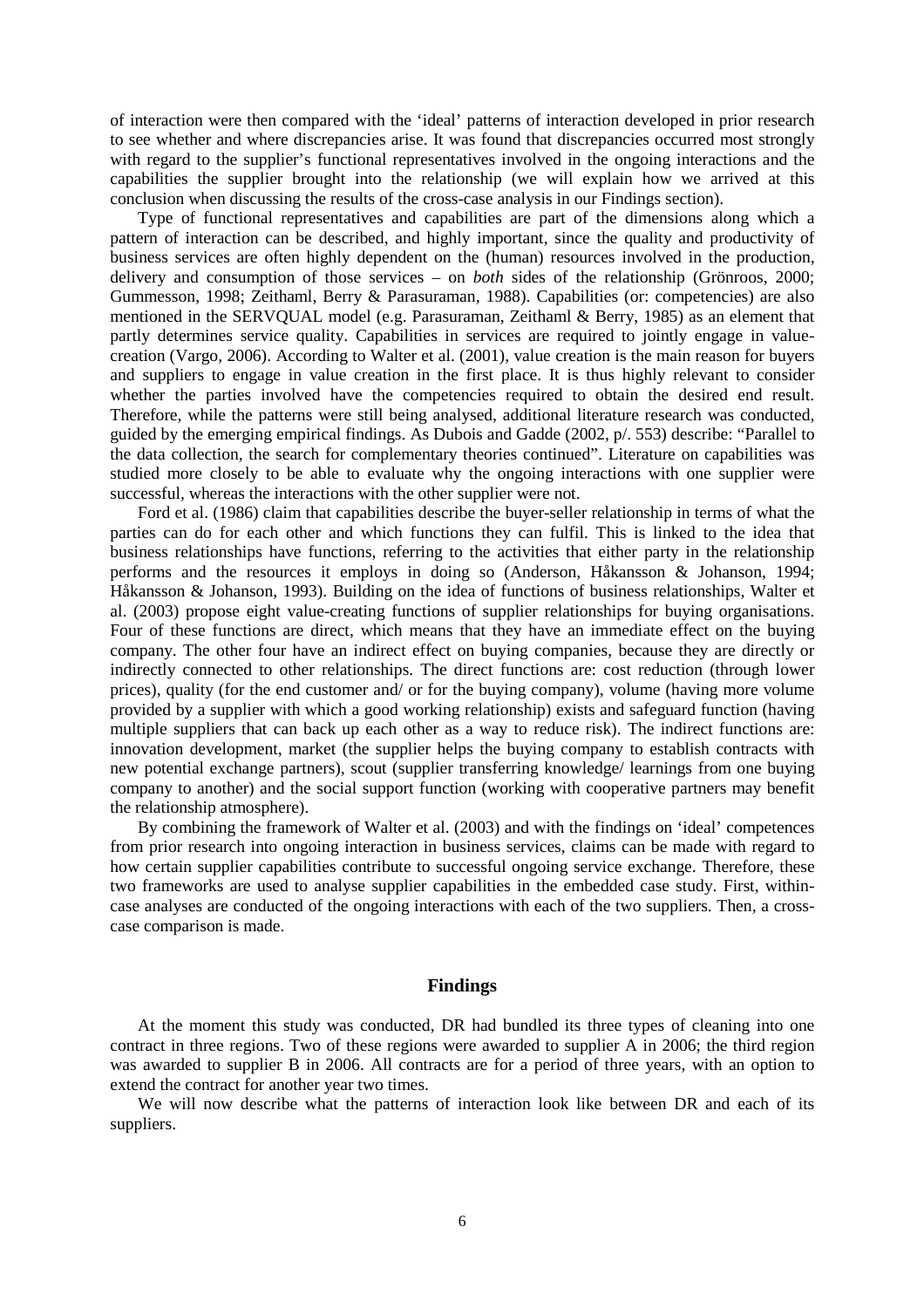of interaction were then compared with the 'ideal' patterns of interaction developed in prior research to see whether and where discrepancies arise. It was found that discrepancies occurred most strongly with regard to the supplier's functional representatives involved in the ongoing interactions and the capabilities the supplier brought into the relationship (we will explain how we arrived at this conclusion when discussing the results of the cross-case analysis in our Findings section).

Type of functional representatives and capabilities are part of the dimensions along which a pattern of interaction can be described, and highly important, since the quality and productivity of business services are often highly dependent on the (human) resources involved in the production, delivery and consumption of those services – on *both* sides of the relationship (Grönroos, 2000; Gummesson, 1998; Zeithaml, Berry & Parasuraman, 1988). Capabilities (or: competencies) are also mentioned in the SERVQUAL model (e.g. Parasuraman, Zeithaml & Berry, 1985) as an element that partly determines service quality. Capabilities in services are required to jointly engage in valuecreation (Vargo, 2006). According to Walter et al. (2001), value creation is the main reason for buyers and suppliers to engage in value creation in the first place. It is thus highly relevant to consider whether the parties involved have the competencies required to obtain the desired end result. Therefore, while the patterns were still being analysed, additional literature research was conducted, guided by the emerging empirical findings. As Dubois and Gadde (2002, p/. 553) describe: "Parallel to the data collection, the search for complementary theories continued". Literature on capabilities was studied more closely to be able to evaluate why the ongoing interactions with one supplier were successful, whereas the interactions with the other supplier were not.

Ford et al. (1986) claim that capabilities describe the buyer-seller relationship in terms of what the parties can do for each other and which functions they can fulfil. This is linked to the idea that business relationships have functions, referring to the activities that either party in the relationship performs and the resources it employs in doing so (Anderson, Håkansson & Johanson, 1994; Håkansson & Johanson, 1993). Building on the idea of functions of business relationships, Walter et al. (2003) propose eight value-creating functions of supplier relationships for buying organisations. Four of these functions are direct, which means that they have an immediate effect on the buying company. The other four have an indirect effect on buying companies, because they are directly or indirectly connected to other relationships. The direct functions are: cost reduction (through lower prices), quality (for the end customer and/ or for the buying company), volume (having more volume provided by a supplier with which a good working relationship) exists and safeguard function (having multiple suppliers that can back up each other as a way to reduce risk). The indirect functions are: innovation development, market (the supplier helps the buying company to establish contracts with new potential exchange partners), scout (supplier transferring knowledge/ learnings from one buying company to another) and the social support function (working with cooperative partners may benefit the relationship atmosphere).

By combining the framework of Walter et al. (2003) and with the findings on 'ideal' competences from prior research into ongoing interaction in business services, claims can be made with regard to how certain supplier capabilities contribute to successful ongoing service exchange. Therefore, these two frameworks are used to analyse supplier capabilities in the embedded case study. First, withincase analyses are conducted of the ongoing interactions with each of the two suppliers. Then, a crosscase comparison is made.

# **Findings**

At the moment this study was conducted, DR had bundled its three types of cleaning into one contract in three regions. Two of these regions were awarded to supplier A in 2006; the third region was awarded to supplier B in 2006. All contracts are for a period of three years, with an option to extend the contract for another year two times.

We will now describe what the patterns of interaction look like between DR and each of its suppliers.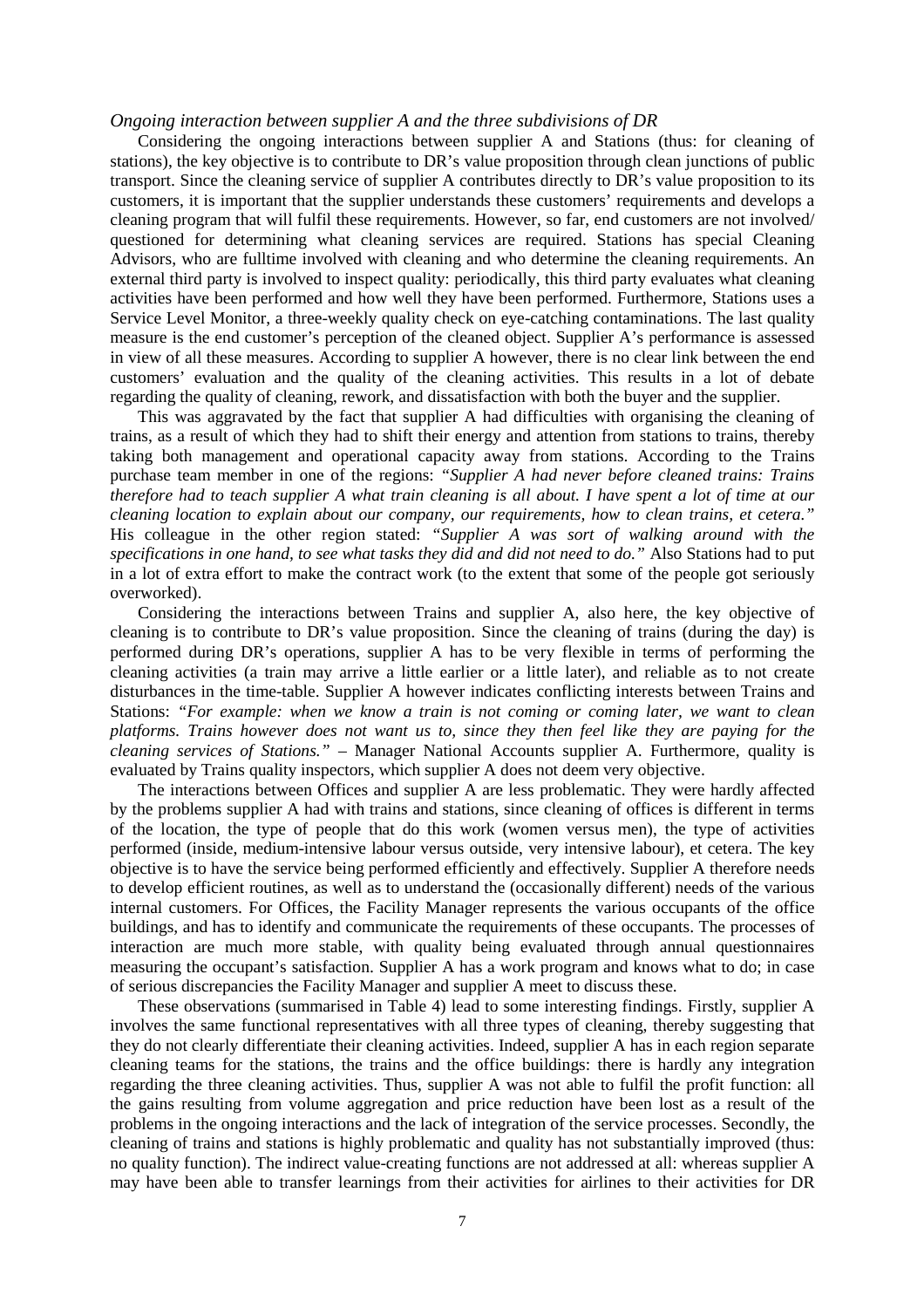#### *Ongoing interaction between supplier A and the three subdivisions of DR*

Considering the ongoing interactions between supplier A and Stations (thus: for cleaning of stations), the key objective is to contribute to DR's value proposition through clean junctions of public transport. Since the cleaning service of supplier A contributes directly to DR's value proposition to its customers, it is important that the supplier understands these customers' requirements and develops a cleaning program that will fulfil these requirements. However, so far, end customers are not involved/ questioned for determining what cleaning services are required. Stations has special Cleaning Advisors, who are fulltime involved with cleaning and who determine the cleaning requirements. An external third party is involved to inspect quality: periodically, this third party evaluates what cleaning activities have been performed and how well they have been performed. Furthermore, Stations uses a Service Level Monitor, a three-weekly quality check on eye-catching contaminations. The last quality measure is the end customer's perception of the cleaned object. Supplier A's performance is assessed in view of all these measures. According to supplier A however, there is no clear link between the end customers' evaluation and the quality of the cleaning activities. This results in a lot of debate regarding the quality of cleaning, rework, and dissatisfaction with both the buyer and the supplier.

This was aggravated by the fact that supplier A had difficulties with organising the cleaning of trains, as a result of which they had to shift their energy and attention from stations to trains, thereby taking both management and operational capacity away from stations. According to the Trains purchase team member in one of the regions: *"Supplier A had never before cleaned trains: Trains therefore had to teach supplier A what train cleaning is all about. I have spent a lot of time at our cleaning location to explain about our company, our requirements, how to clean trains, et cetera."* His colleague in the other region stated: *"Supplier A was sort of walking around with the specifications in one hand, to see what tasks they did and did not need to do."* Also Stations had to put in a lot of extra effort to make the contract work (to the extent that some of the people got seriously overworked).

Considering the interactions between Trains and supplier A, also here, the key objective of cleaning is to contribute to DR's value proposition. Since the cleaning of trains (during the day) is performed during DR's operations, supplier A has to be very flexible in terms of performing the cleaning activities (a train may arrive a little earlier or a little later), and reliable as to not create disturbances in the time-table. Supplier A however indicates conflicting interests between Trains and Stations: *"For example: when we know a train is not coming or coming later, we want to clean platforms. Trains however does not want us to, since they then feel like they are paying for the cleaning services of Stations."* – Manager National Accounts supplier A. Furthermore, quality is evaluated by Trains quality inspectors, which supplier A does not deem very objective.

The interactions between Offices and supplier A are less problematic. They were hardly affected by the problems supplier A had with trains and stations, since cleaning of offices is different in terms of the location, the type of people that do this work (women versus men), the type of activities performed (inside, medium-intensive labour versus outside, very intensive labour), et cetera. The key objective is to have the service being performed efficiently and effectively. Supplier A therefore needs to develop efficient routines, as well as to understand the (occasionally different) needs of the various internal customers. For Offices, the Facility Manager represents the various occupants of the office buildings, and has to identify and communicate the requirements of these occupants. The processes of interaction are much more stable, with quality being evaluated through annual questionnaires measuring the occupant's satisfaction. Supplier A has a work program and knows what to do; in case of serious discrepancies the Facility Manager and supplier A meet to discuss these.

These observations (summarised in Table 4) lead to some interesting findings. Firstly, supplier A involves the same functional representatives with all three types of cleaning, thereby suggesting that they do not clearly differentiate their cleaning activities. Indeed, supplier A has in each region separate cleaning teams for the stations, the trains and the office buildings: there is hardly any integration regarding the three cleaning activities. Thus, supplier A was not able to fulfil the profit function: all the gains resulting from volume aggregation and price reduction have been lost as a result of the problems in the ongoing interactions and the lack of integration of the service processes. Secondly, the cleaning of trains and stations is highly problematic and quality has not substantially improved (thus: no quality function). The indirect value-creating functions are not addressed at all: whereas supplier A may have been able to transfer learnings from their activities for airlines to their activities for DR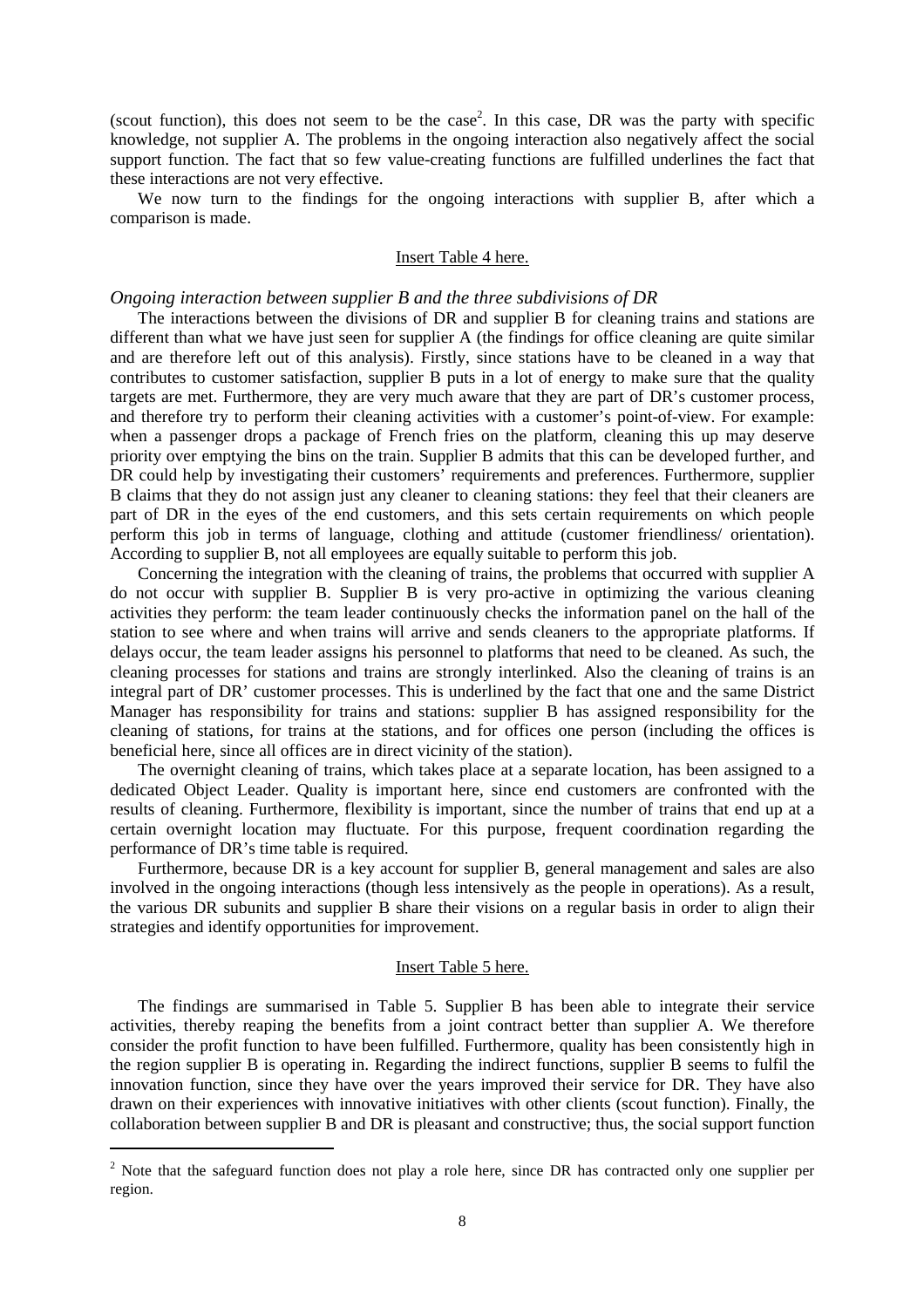(scout function), this does not seem to be the case<sup>2</sup>. In this case, DR was the party with specific knowledge, not supplier A. The problems in the ongoing interaction also negatively affect the social support function. The fact that so few value-creating functions are fulfilled underlines the fact that these interactions are not very effective.

We now turn to the findings for the ongoing interactions with supplier B, after which a comparison is made.

### Insert Table 4 here.

# *Ongoing interaction between supplier B and the three subdivisions of DR*

The interactions between the divisions of DR and supplier B for cleaning trains and stations are different than what we have just seen for supplier A (the findings for office cleaning are quite similar and are therefore left out of this analysis). Firstly, since stations have to be cleaned in a way that contributes to customer satisfaction, supplier B puts in a lot of energy to make sure that the quality targets are met. Furthermore, they are very much aware that they are part of DR's customer process, and therefore try to perform their cleaning activities with a customer's point-of-view. For example: when a passenger drops a package of French fries on the platform, cleaning this up may deserve priority over emptying the bins on the train. Supplier B admits that this can be developed further, and DR could help by investigating their customers' requirements and preferences. Furthermore, supplier B claims that they do not assign just any cleaner to cleaning stations: they feel that their cleaners are part of DR in the eyes of the end customers, and this sets certain requirements on which people perform this job in terms of language, clothing and attitude (customer friendliness/ orientation). According to supplier B, not all employees are equally suitable to perform this job.

Concerning the integration with the cleaning of trains, the problems that occurred with supplier A do not occur with supplier B. Supplier B is very pro-active in optimizing the various cleaning activities they perform: the team leader continuously checks the information panel on the hall of the station to see where and when trains will arrive and sends cleaners to the appropriate platforms. If delays occur, the team leader assigns his personnel to platforms that need to be cleaned. As such, the cleaning processes for stations and trains are strongly interlinked. Also the cleaning of trains is an integral part of DR' customer processes. This is underlined by the fact that one and the same District Manager has responsibility for trains and stations: supplier B has assigned responsibility for the cleaning of stations, for trains at the stations, and for offices one person (including the offices is beneficial here, since all offices are in direct vicinity of the station).

The overnight cleaning of trains, which takes place at a separate location, has been assigned to a dedicated Object Leader. Quality is important here, since end customers are confronted with the results of cleaning. Furthermore, flexibility is important, since the number of trains that end up at a certain overnight location may fluctuate. For this purpose, frequent coordination regarding the performance of DR's time table is required.

Furthermore, because DR is a key account for supplier B, general management and sales are also involved in the ongoing interactions (though less intensively as the people in operations). As a result, the various DR subunits and supplier B share their visions on a regular basis in order to align their strategies and identify opportunities for improvement.

#### Insert Table 5 here.

The findings are summarised in Table 5. Supplier B has been able to integrate their service activities, thereby reaping the benefits from a joint contract better than supplier A. We therefore consider the profit function to have been fulfilled. Furthermore, quality has been consistently high in the region supplier B is operating in. Regarding the indirect functions, supplier B seems to fulfil the innovation function, since they have over the years improved their service for DR. They have also drawn on their experiences with innovative initiatives with other clients (scout function). Finally, the collaboration between supplier B and DR is pleasant and constructive; thus, the social support function

 $\overline{a}$ 

 $2$  Note that the safeguard function does not play a role here, since DR has contracted only one supplier per region.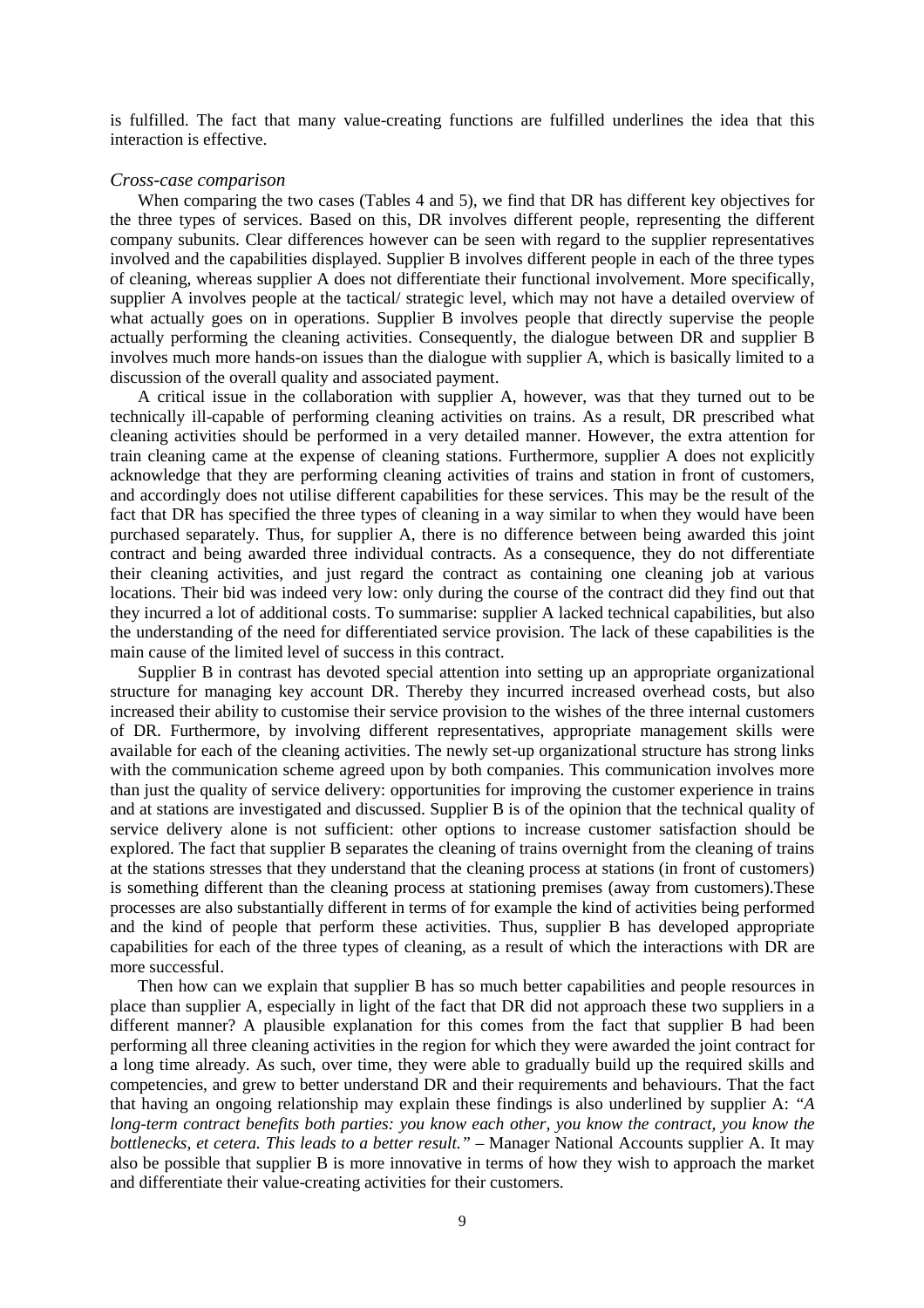is fulfilled. The fact that many value-creating functions are fulfilled underlines the idea that this interaction is effective.

#### *Cross-case comparison*

When comparing the two cases (Tables 4 and 5), we find that DR has different key objectives for the three types of services. Based on this, DR involves different people, representing the different company subunits. Clear differences however can be seen with regard to the supplier representatives involved and the capabilities displayed. Supplier B involves different people in each of the three types of cleaning, whereas supplier A does not differentiate their functional involvement. More specifically, supplier A involves people at the tactical/ strategic level, which may not have a detailed overview of what actually goes on in operations. Supplier B involves people that directly supervise the people actually performing the cleaning activities. Consequently, the dialogue between DR and supplier B involves much more hands-on issues than the dialogue with supplier A, which is basically limited to a discussion of the overall quality and associated payment.

A critical issue in the collaboration with supplier A, however, was that they turned out to be technically ill-capable of performing cleaning activities on trains. As a result, DR prescribed what cleaning activities should be performed in a very detailed manner. However, the extra attention for train cleaning came at the expense of cleaning stations. Furthermore, supplier A does not explicitly acknowledge that they are performing cleaning activities of trains and station in front of customers, and accordingly does not utilise different capabilities for these services. This may be the result of the fact that DR has specified the three types of cleaning in a way similar to when they would have been purchased separately. Thus, for supplier A, there is no difference between being awarded this joint contract and being awarded three individual contracts. As a consequence, they do not differentiate their cleaning activities, and just regard the contract as containing one cleaning job at various locations. Their bid was indeed very low: only during the course of the contract did they find out that they incurred a lot of additional costs. To summarise: supplier A lacked technical capabilities, but also the understanding of the need for differentiated service provision. The lack of these capabilities is the main cause of the limited level of success in this contract.

Supplier B in contrast has devoted special attention into setting up an appropriate organizational structure for managing key account DR. Thereby they incurred increased overhead costs, but also increased their ability to customise their service provision to the wishes of the three internal customers of DR. Furthermore, by involving different representatives, appropriate management skills were available for each of the cleaning activities. The newly set-up organizational structure has strong links with the communication scheme agreed upon by both companies. This communication involves more than just the quality of service delivery: opportunities for improving the customer experience in trains and at stations are investigated and discussed. Supplier B is of the opinion that the technical quality of service delivery alone is not sufficient: other options to increase customer satisfaction should be explored. The fact that supplier B separates the cleaning of trains overnight from the cleaning of trains at the stations stresses that they understand that the cleaning process at stations (in front of customers) is something different than the cleaning process at stationing premises (away from customers).These processes are also substantially different in terms of for example the kind of activities being performed and the kind of people that perform these activities. Thus, supplier B has developed appropriate capabilities for each of the three types of cleaning, as a result of which the interactions with DR are more successful.

Then how can we explain that supplier B has so much better capabilities and people resources in place than supplier A, especially in light of the fact that DR did not approach these two suppliers in a different manner? A plausible explanation for this comes from the fact that supplier B had been performing all three cleaning activities in the region for which they were awarded the joint contract for a long time already. As such, over time, they were able to gradually build up the required skills and competencies, and grew to better understand DR and their requirements and behaviours. That the fact that having an ongoing relationship may explain these findings is also underlined by supplier A: *"A long-term contract benefits both parties: you know each other, you know the contract, you know the bottlenecks, et cetera. This leads to a better result."* – Manager National Accounts supplier A. It may also be possible that supplier B is more innovative in terms of how they wish to approach the market and differentiate their value-creating activities for their customers.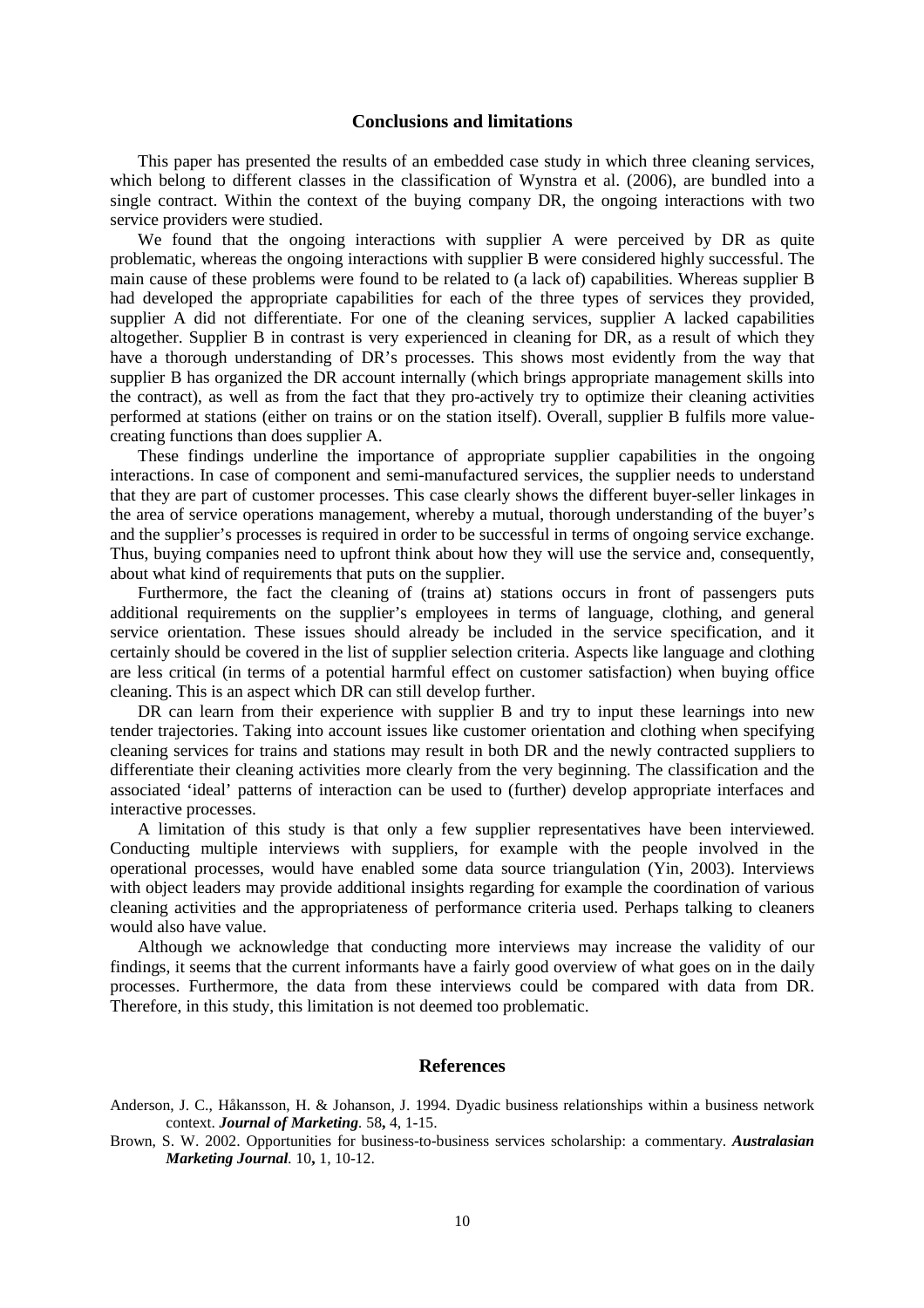# **Conclusions and limitations**

This paper has presented the results of an embedded case study in which three cleaning services, which belong to different classes in the classification of Wynstra et al. (2006), are bundled into a single contract. Within the context of the buying company DR, the ongoing interactions with two service providers were studied.

We found that the ongoing interactions with supplier A were perceived by DR as quite problematic, whereas the ongoing interactions with supplier B were considered highly successful. The main cause of these problems were found to be related to (a lack of) capabilities. Whereas supplier B had developed the appropriate capabilities for each of the three types of services they provided, supplier A did not differentiate. For one of the cleaning services, supplier A lacked capabilities altogether. Supplier B in contrast is very experienced in cleaning for DR, as a result of which they have a thorough understanding of DR's processes. This shows most evidently from the way that supplier B has organized the DR account internally (which brings appropriate management skills into the contract), as well as from the fact that they pro-actively try to optimize their cleaning activities performed at stations (either on trains or on the station itself). Overall, supplier B fulfils more valuecreating functions than does supplier A.

These findings underline the importance of appropriate supplier capabilities in the ongoing interactions. In case of component and semi-manufactured services, the supplier needs to understand that they are part of customer processes. This case clearly shows the different buyer-seller linkages in the area of service operations management, whereby a mutual, thorough understanding of the buyer's and the supplier's processes is required in order to be successful in terms of ongoing service exchange. Thus, buying companies need to upfront think about how they will use the service and, consequently, about what kind of requirements that puts on the supplier.

Furthermore, the fact the cleaning of (trains at) stations occurs in front of passengers puts additional requirements on the supplier's employees in terms of language, clothing, and general service orientation. These issues should already be included in the service specification, and it certainly should be covered in the list of supplier selection criteria. Aspects like language and clothing are less critical (in terms of a potential harmful effect on customer satisfaction) when buying office cleaning. This is an aspect which DR can still develop further.

DR can learn from their experience with supplier B and try to input these learnings into new tender trajectories. Taking into account issues like customer orientation and clothing when specifying cleaning services for trains and stations may result in both DR and the newly contracted suppliers to differentiate their cleaning activities more clearly from the very beginning. The classification and the associated 'ideal' patterns of interaction can be used to (further) develop appropriate interfaces and interactive processes.

A limitation of this study is that only a few supplier representatives have been interviewed. Conducting multiple interviews with suppliers, for example with the people involved in the operational processes, would have enabled some data source triangulation (Yin, 2003). Interviews with object leaders may provide additional insights regarding for example the coordination of various cleaning activities and the appropriateness of performance criteria used. Perhaps talking to cleaners would also have value.

Although we acknowledge that conducting more interviews may increase the validity of our findings, it seems that the current informants have a fairly good overview of what goes on in the daily processes. Furthermore, the data from these interviews could be compared with data from DR. Therefore, in this study, this limitation is not deemed too problematic.

#### **References**

Brown, S. W. 2002. Opportunities for business-to-business services scholarship: a commentary. *Australasian Marketing Journal.* 10**,** 1, 10-12.

Anderson, J. C., Håkansson, H. & Johanson, J. 1994. Dyadic business relationships within a business network context. *Journal of Marketing.* 58**,** 4, 1-15.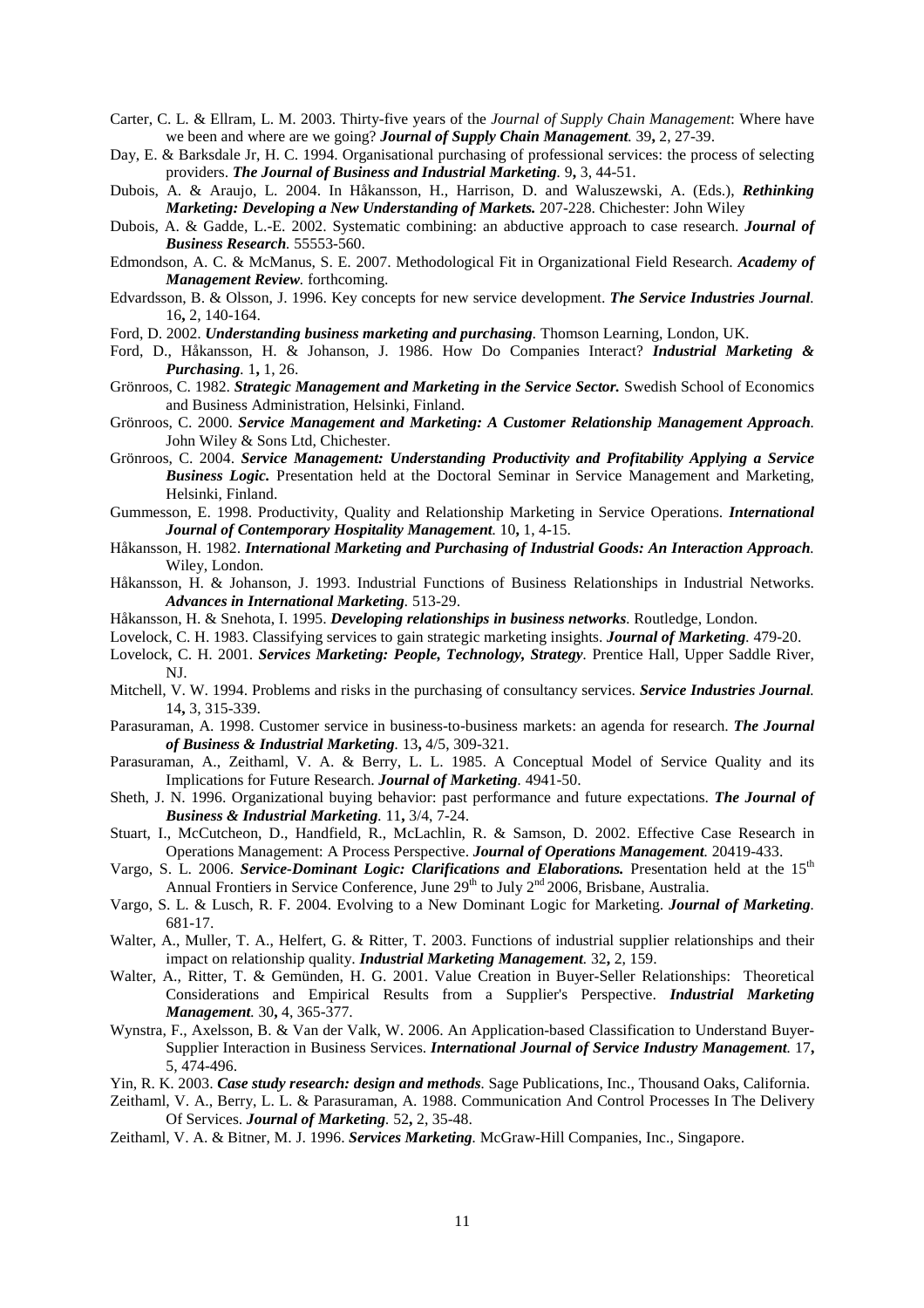Carter, C. L. & Ellram, L. M. 2003. Thirty-five years of the *Journal of Supply Chain Management*: Where have we been and where are we going? *Journal of Supply Chain Management.* 39**,** 2, 27-39.

Day, E. & Barksdale Jr, H. C. 1994. Organisational purchasing of professional services: the process of selecting providers. *The Journal of Business and Industrial Marketing.* 9**,** 3, 44-51.

Dubois, A. & Araujo, L. 2004. In Håkansson, H., Harrison, D. and Waluszewski, A. (Eds.), *Rethinking Marketing: Developing a New Understanding of Markets.* 207-228. Chichester: John Wiley

- Dubois, A. & Gadde, L.-E. 2002. Systematic combining: an abductive approach to case research. *Journal of Business Research.* 55553-560.
- Edmondson, A. C. & McManus, S. E. 2007. Methodological Fit in Organizational Field Research. *Academy of Management Review.* forthcoming.
- Edvardsson, B. & Olsson, J. 1996. Key concepts for new service development. *The Service Industries Journal.* 16**,** 2, 140-164.
- Ford, D. 2002. *Understanding business marketing and purchasing.* Thomson Learning, London, UK.
- Ford, D., Håkansson, H. & Johanson, J. 1986. How Do Companies Interact? *Industrial Marketing & Purchasing.* 1**,** 1, 26.
- Grönroos, C. 1982. *Strategic Management and Marketing in the Service Sector.* Swedish School of Economics and Business Administration, Helsinki, Finland.
- Grönroos, C. 2000. *Service Management and Marketing: A Customer Relationship Management Approach.*  John Wiley & Sons Ltd, Chichester.
- Grönroos, C. 2004. *Service Management: Understanding Productivity and Profitability Applying a Service Business Logic.* Presentation held at the Doctoral Seminar in Service Management and Marketing, Helsinki, Finland.
- Gummesson, E. 1998. Productivity, Quality and Relationship Marketing in Service Operations. *International Journal of Contemporary Hospitality Management.* 10**,** 1, 4-15.
- Håkansson, H. 1982. *International Marketing and Purchasing of Industrial Goods: An Interaction Approach.*  Wiley, London.
- Håkansson, H. & Johanson, J. 1993. Industrial Functions of Business Relationships in Industrial Networks. *Advances in International Marketing.* 513-29.
- Håkansson, H. & Snehota, I. 1995. *Developing relationships in business networks.* Routledge, London.
- Lovelock, C. H. 1983. Classifying services to gain strategic marketing insights. *Journal of Marketing.* 479-20.
- Lovelock, C. H. 2001. *Services Marketing: People, Technology, Strategy.* Prentice Hall, Upper Saddle River, NJ.
- Mitchell, V. W. 1994. Problems and risks in the purchasing of consultancy services. *Service Industries Journal.* 14**,** 3, 315-339.
- Parasuraman, A. 1998. Customer service in business-to-business markets: an agenda for research. *The Journal of Business & Industrial Marketing.* 13**,** 4/5, 309-321.
- Parasuraman, A., Zeithaml, V. A. & Berry, L. L. 1985. A Conceptual Model of Service Quality and its Implications for Future Research. *Journal of Marketing.* 4941-50.
- Sheth, J. N. 1996. Organizational buying behavior: past performance and future expectations. *The Journal of Business & Industrial Marketing.* 11**,** 3/4, 7-24.
- Stuart, I., McCutcheon, D., Handfield, R., McLachlin, R. & Samson, D. 2002. Effective Case Research in Operations Management: A Process Perspective. *Journal of Operations Management.* 20419-433.
- Vargo, S. L. 2006. *Service-Dominant Logic: Clarifications and Elaborations*. Presentation held at the 15<sup>th</sup> Annual Frontiers in Service Conference, June 29<sup>th</sup> to July 2<sup>nd</sup> 2006, Brisbane, Australia.
- Vargo, S. L. & Lusch, R. F. 2004. Evolving to a New Dominant Logic for Marketing. *Journal of Marketing.* 681-17.
- Walter, A., Muller, T. A., Helfert, G. & Ritter, T. 2003. Functions of industrial supplier relationships and their impact on relationship quality. *Industrial Marketing Management.* 32**,** 2, 159.
- Walter, A., Ritter, T. & Gemünden, H. G. 2001. Value Creation in Buyer-Seller Relationships: Theoretical Considerations and Empirical Results from a Supplier's Perspective. *Industrial Marketing Management.* 30**,** 4, 365-377.
- Wynstra, F., Axelsson, B. & Van der Valk, W. 2006. An Application-based Classification to Understand Buyer-Supplier Interaction in Business Services. *International Journal of Service Industry Management.* 17**,** 5, 474-496.
- Yin, R. K. 2003. *Case study research: design and methods.* Sage Publications, Inc., Thousand Oaks, California.
- Zeithaml, V. A., Berry, L. L. & Parasuraman, A. 1988. Communication And Control Processes In The Delivery Of Services. *Journal of Marketing.* 52**,** 2, 35-48.
- Zeithaml, V. A. & Bitner, M. J. 1996. *Services Marketing.* McGraw-Hill Companies, Inc., Singapore.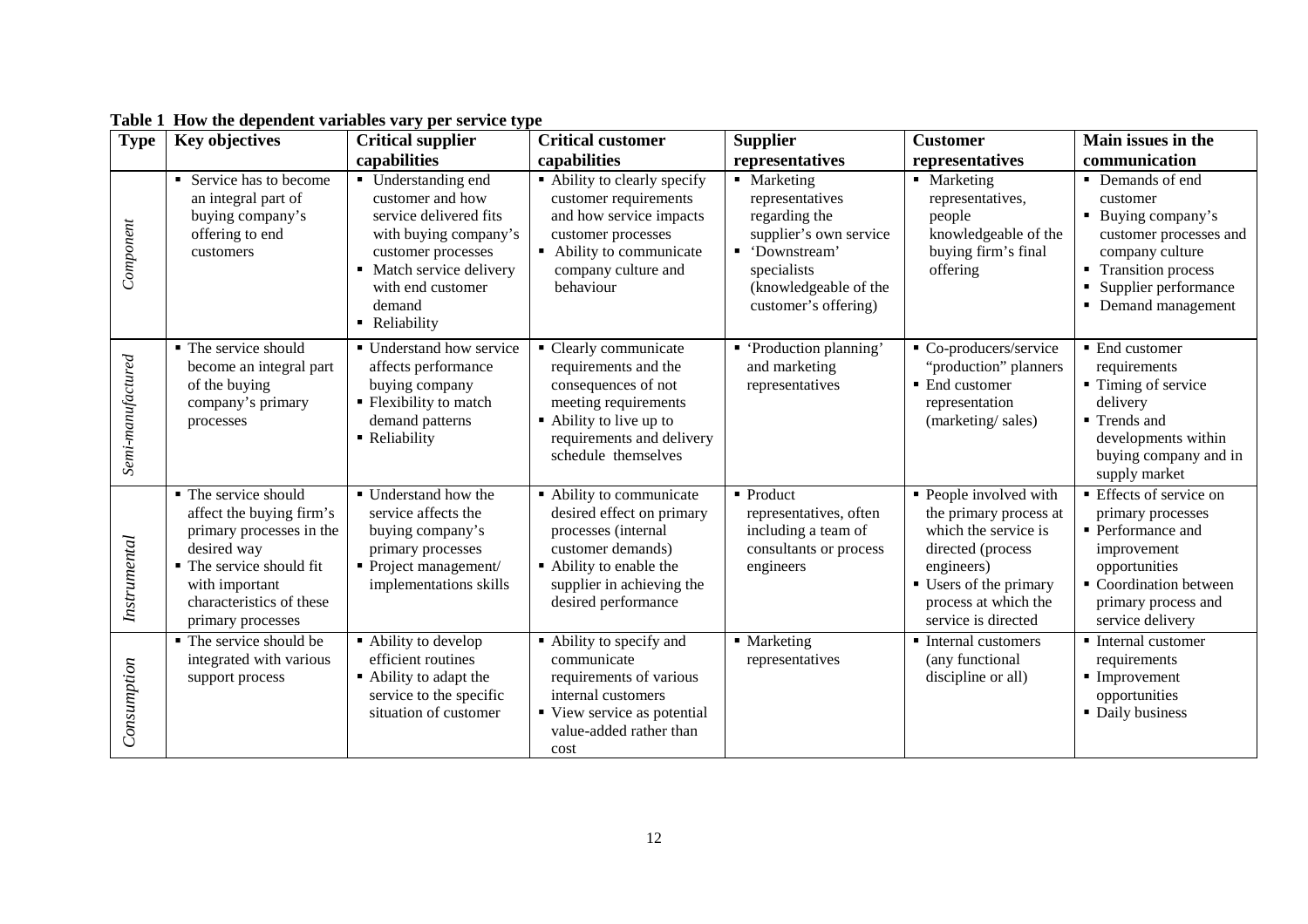| <b>Type</b>       | <b>Key objectives</b>                                                                                                                                                                      | <b>Critical supplier</b>                                                                                                                                                                     | <b>Critical customer</b>                                                                                                                                                       | <b>Supplier</b>                                                                                                                                             | <b>Customer</b>                                                                                                                                                                      | Main issues in the                                                                                                                                                                  |
|-------------------|--------------------------------------------------------------------------------------------------------------------------------------------------------------------------------------------|----------------------------------------------------------------------------------------------------------------------------------------------------------------------------------------------|--------------------------------------------------------------------------------------------------------------------------------------------------------------------------------|-------------------------------------------------------------------------------------------------------------------------------------------------------------|--------------------------------------------------------------------------------------------------------------------------------------------------------------------------------------|-------------------------------------------------------------------------------------------------------------------------------------------------------------------------------------|
|                   |                                                                                                                                                                                            | capabilities                                                                                                                                                                                 | capabilities                                                                                                                                                                   | representatives                                                                                                                                             | representatives                                                                                                                                                                      | communication                                                                                                                                                                       |
| Component         | • Service has to become<br>an integral part of<br>buying company's<br>offering to end<br>customers                                                                                         | • Understanding end<br>customer and how<br>service delivered fits<br>with buying company's<br>customer processes<br>• Match service delivery<br>with end customer<br>demand<br>• Reliability | • Ability to clearly specify<br>customer requirements<br>and how service impacts<br>customer processes<br>• Ability to communicate<br>company culture and<br>behaviour         | • Marketing<br>representatives<br>regarding the<br>supplier's own service<br>• 'Downstream'<br>specialists<br>(knowledgeable of the<br>customer's offering) | • Marketing<br>representatives,<br>people<br>knowledgeable of the<br>buying firm's final<br>offering                                                                                 | • Demands of end<br>customer<br>• Buying company's<br>customer processes and<br>company culture<br><b>Transition process</b><br>٠<br>Supplier performance<br>Demand management<br>٠ |
| Semi-manufactured | • The service should<br>become an integral part<br>of the buying<br>company's primary<br>processes                                                                                         | • Understand how service<br>affects performance<br>buying company<br>• Flexibility to match<br>demand patterns<br>• Reliability                                                              | • Clearly communicate<br>requirements and the<br>consequences of not<br>meeting requirements<br>• Ability to live up to<br>requirements and delivery<br>schedule themselves    | • 'Production planning'<br>and marketing<br>representatives                                                                                                 | • Co-producers/service<br>"production" planners<br>■ End customer<br>representation<br>(marketing/sales)                                                                             | ■ End customer<br>requirements<br>■ Timing of service<br>delivery<br>■ Trends and<br>developments within<br>buying company and in<br>supply market                                  |
| Instrumental      | • The service should<br>affect the buying firm's<br>primary processes in the<br>desired way<br>• The service should fit<br>with important<br>characteristics of these<br>primary processes | • Understand how the<br>service affects the<br>buying company's<br>primary processes<br>• Project management/<br>implementations skills                                                      | • Ability to communicate<br>desired effect on primary<br>processes (internal<br>customer demands)<br>Ability to enable the<br>supplier in achieving the<br>desired performance | • Product<br>representatives, often<br>including a team of<br>consultants or process<br>engineers                                                           | • People involved with<br>the primary process at<br>which the service is<br>directed (process<br>engineers)<br>• Users of the primary<br>process at which the<br>service is directed | <b>Effects of service on</b><br>primary processes<br>• Performance and<br>improvement<br>opportunities<br>• Coordination between<br>primary process and<br>service delivery         |
| Consumption       | • The service should be<br>integrated with various<br>support process                                                                                                                      | • Ability to develop<br>efficient routines<br>• Ability to adapt the<br>service to the specific<br>situation of customer                                                                     | • Ability to specify and<br>communicate<br>requirements of various<br>internal customers<br>• View service as potential<br>value-added rather than<br>cost                     | • Marketing<br>representatives                                                                                                                              | • Internal customers<br>(any functional<br>discipline or all)                                                                                                                        | • Internal customer<br>requirements<br>$\blacksquare$ Improvement<br>opportunities<br>• Daily business                                                                              |

**Table 1 How the dependent variables vary per service type**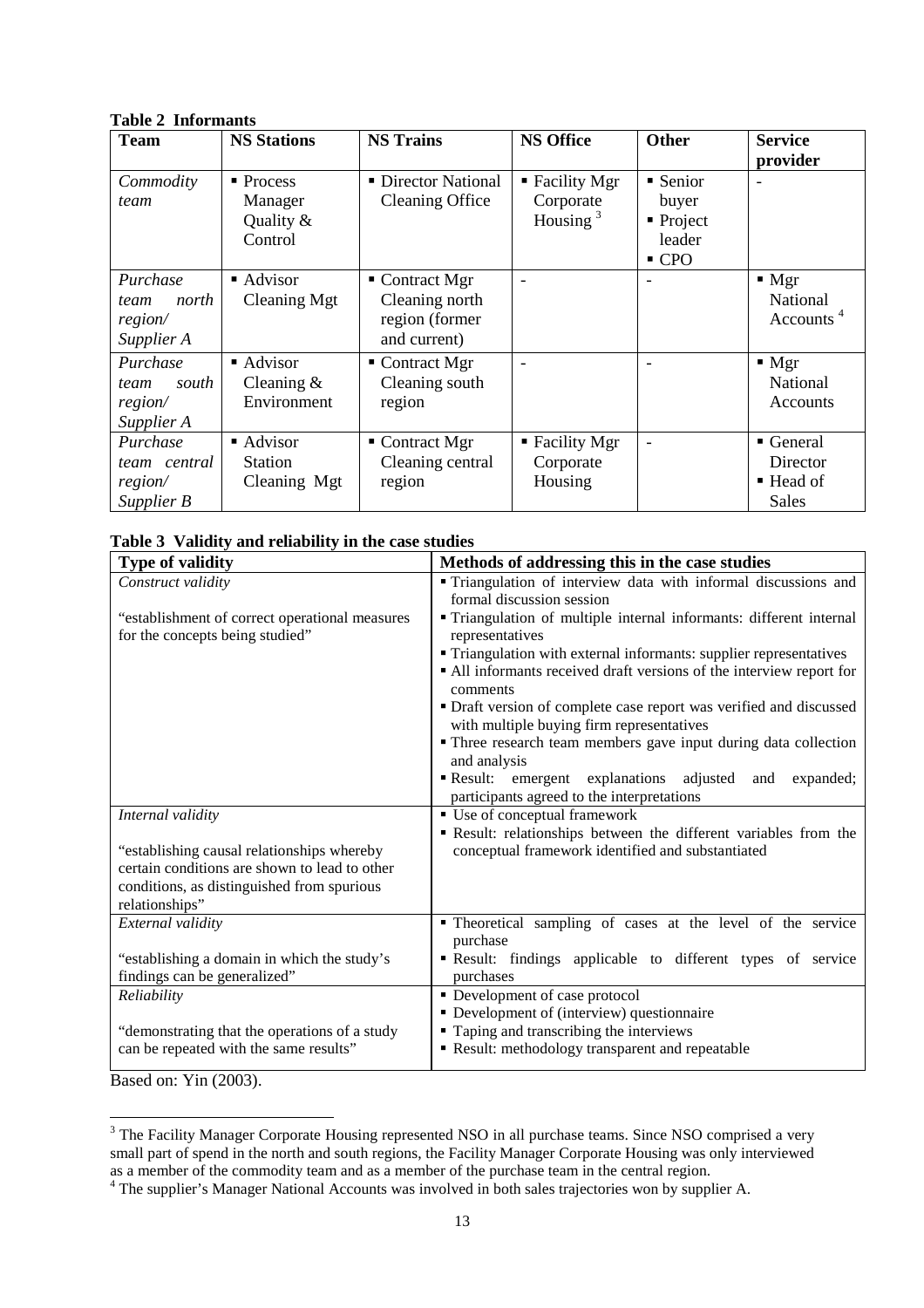# **Table 2 Informants**

| <b>Team</b>                                        | <b>NS Stations</b>                                          | <b>NS</b> Trains                                                                | <b>NS Office</b>                                        | <b>Other</b>                                                   | <b>Service</b><br>provider                              |
|----------------------------------------------------|-------------------------------------------------------------|---------------------------------------------------------------------------------|---------------------------------------------------------|----------------------------------------------------------------|---------------------------------------------------------|
| Commodity<br>team                                  | $\blacksquare$ Process<br>Manager<br>Quality $&$<br>Control | • Director National<br><b>Cleaning Office</b>                                   | $\blacksquare$ Facility Mgr<br>Corporate<br>Housing $3$ | • Senior<br>buyer<br>• Project<br>leader<br>$\blacksquare$ CPO |                                                         |
| Purchase<br>north<br>team<br>region/<br>Supplier A | • Advisor<br>Cleaning Mgt                                   | $\blacksquare$ Contract Mgr<br>Cleaning north<br>region (former<br>and current) |                                                         |                                                                | $\blacksquare$ Mgr<br>National<br>Accounts <sup>4</sup> |
| Purchase<br>south<br>team<br>region/<br>Supplier A | ■ Advisor<br>Cleaning $&$<br>Environment                    | $\blacksquare$ Contract Mgr<br>Cleaning south<br>region                         |                                                         |                                                                | $\blacksquare$ Mgr<br>National<br>Accounts              |
| Purchase<br>team central<br>region/<br>Supplier B  | • Advisor<br><b>Station</b><br>Cleaning Mgt                 | $\blacksquare$ Contract Mgr<br>Cleaning central<br>region                       | $\blacksquare$ Facility Mgr<br>Corporate<br>Housing     |                                                                | General<br>Director<br>■ Head of<br><b>Sales</b>        |

# **Table 3 Validity and reliability in the case studies**

| <b>Type of validity</b>                                                            | Methods of addressing this in the case studies                                                                  |  |  |  |  |
|------------------------------------------------------------------------------------|-----------------------------------------------------------------------------------------------------------------|--|--|--|--|
| Construct validity                                                                 | • Triangulation of interview data with informal discussions and<br>formal discussion session                    |  |  |  |  |
| "establishment of correct operational measures"<br>for the concepts being studied" | " Triangulation of multiple internal informants: different internal<br>representatives                          |  |  |  |  |
|                                                                                    | • Triangulation with external informants: supplier representatives                                              |  |  |  |  |
|                                                                                    | • All informants received draft versions of the interview report for<br>comments                                |  |  |  |  |
|                                                                                    | • Draft version of complete case report was verified and discussed<br>with multiple buying firm representatives |  |  |  |  |
|                                                                                    | • Three research team members gave input during data collection<br>and analysis                                 |  |  |  |  |
|                                                                                    | Result: emergent explanations adjusted<br>expanded;<br>and<br>participants agreed to the interpretations        |  |  |  |  |
| Internal validity                                                                  | • Use of conceptual framework                                                                                   |  |  |  |  |
|                                                                                    | Result: relationships between the different variables from the                                                  |  |  |  |  |
| "establishing causal relationships whereby"                                        | conceptual framework identified and substantiated                                                               |  |  |  |  |
| certain conditions are shown to lead to other                                      |                                                                                                                 |  |  |  |  |
| conditions, as distinguished from spurious                                         |                                                                                                                 |  |  |  |  |
| relationships"<br>External validity                                                | " Theoretical sampling of cases at the level of the service                                                     |  |  |  |  |
|                                                                                    | purchase                                                                                                        |  |  |  |  |
| "establishing a domain in which the study's                                        | Result: findings applicable to different types of service                                                       |  |  |  |  |
| findings can be generalized"                                                       | purchases                                                                                                       |  |  |  |  |
| Reliability                                                                        | • Development of case protocol                                                                                  |  |  |  |  |
|                                                                                    | • Development of (interview) questionnaire                                                                      |  |  |  |  |
| "demonstrating that the operations of a study                                      | " Taping and transcribing the interviews                                                                        |  |  |  |  |
| can be repeated with the same results"                                             | Result: methodology transparent and repeatable                                                                  |  |  |  |  |

Based on: Yin (2003).

<sup>&</sup>lt;sup>3</sup> The Facility Manager Corporate Housing represented NSO in all purchase teams. Since NSO comprised a very <sup>3</sup> small part of spend in the north and south regions, the Facility Manager Corporate Housing was only interviewed

as a member of the commodity team and as a member of the purchase team in the central region.<br><sup>4</sup> The supplier's Manager National Accounts was involved in both sales trajectories won by supplier A.